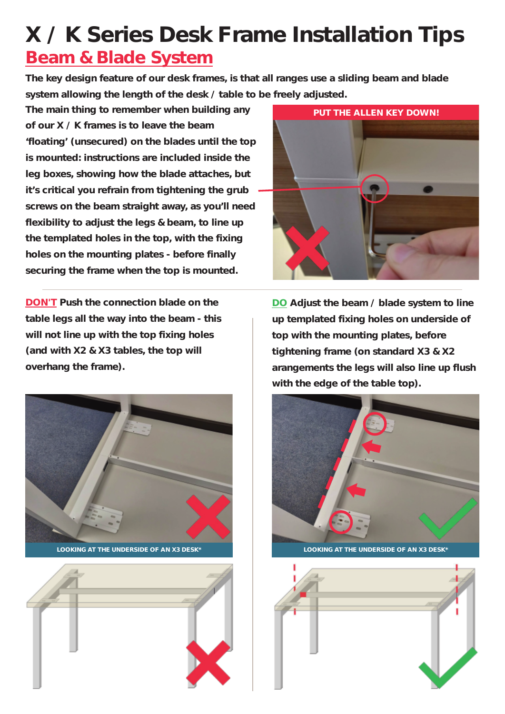## **X / K Series Desk Frame Installation Tips Beam & Blade System**

**The key design feature of our desk frames, is that all ranges use a sliding beam and blade system allowing the length of the desk / table to be freely adjusted.**

**The main thing to remember when building any of our X / K frames is to leave the beam 'floating' (unsecured) on the blades until the top is mounted: instructions are included inside the leg boxes, showing how the blade attaches, but it's critical you refrain from tightening the grub screws on the beam straight away, as you'll need flexibility to adjust the legs & beam, to line up the templated holes in the top, with the fixing holes on the mounting plates - before finally securing the frame when the top is mounted.**

**DON'T Push the connection blade on the table legs all the way into the beam - this will not line up with the top fixing holes (and with X2 & X3 tables, the top will overhang the frame).**







**DO Adjust the beam / blade system to line up templated fixing holes on underside of top with the mounting plates, before tightening frame (on standard X3 & X2 arangements the legs will also line up flush with the edge of the table top).**